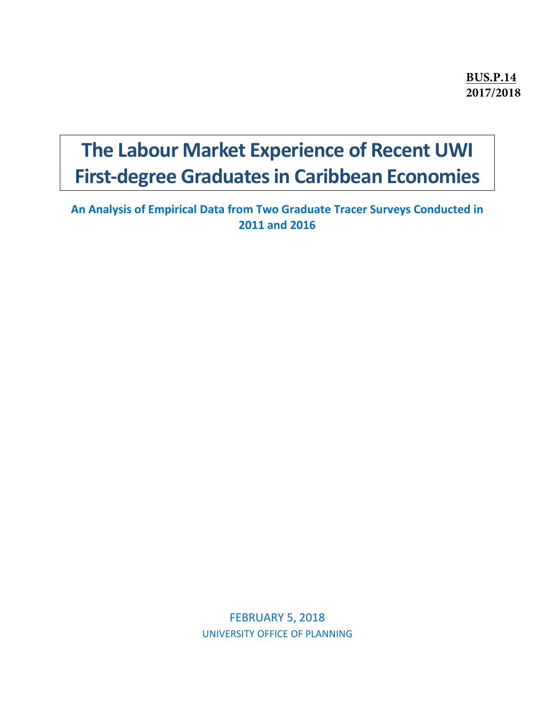**BUS.P.14 2017/2018**

# **The Labour Market Experience of Recent UWI First-degree Graduates in Caribbean Economies**

**An Analysis of Empirical Data from Two Graduate Tracer Surveys Conducted in 2011 and 2016**

> FEBRUARY 5, 2018 UNIVERSITY OFFICE OF PLANNING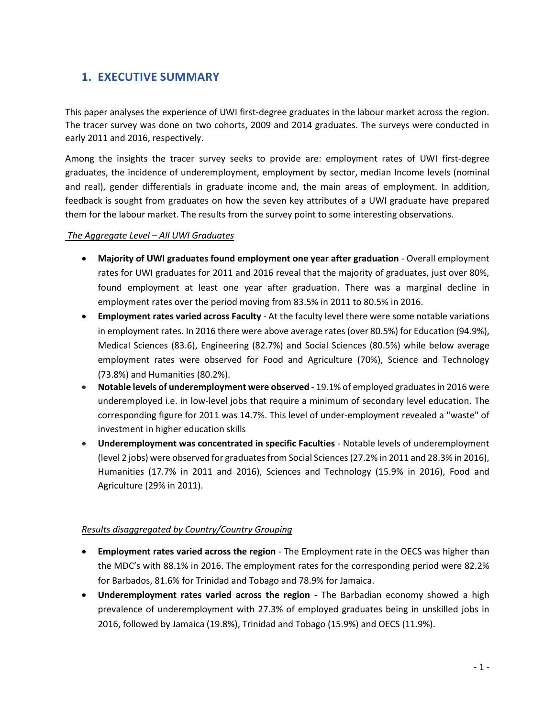# **1. EXECUTIVE SUMMARY**

This paper analyses the experience of UWI first-degree graduates in the labour market across the region. The tracer survey was done on two cohorts, 2009 and 2014 graduates. The surveys were conducted in early 2011 and 2016, respectively.

Among the insights the tracer survey seeks to provide are: employment rates of UWI first-degree graduates, the incidence of underemployment, employment by sector, median Income levels (nominal and real), gender differentials in graduate income and, the main areas of employment. In addition, feedback is sought from graduates on how the seven key attributes of a UWI graduate have prepared them for the labour market. The results from the survey point to some interesting observations.

### *The Aggregate Level – All UWI Graduates*

- **Majority of UWI graduates found employment one year after graduation** Overall employment rates for UWI graduates for 2011 and 2016 reveal that the majority of graduates, just over 80%, found employment at least one year after graduation. There was a marginal decline in employment rates over the period moving from 83.5% in 2011 to 80.5% in 2016.
- **Employment rates varied across Faculty** At the faculty level there were some notable variations in employment rates. In 2016 there were above average rates (over 80.5%) for Education (94.9%), Medical Sciences (83.6), Engineering (82.7%) and Social Sciences (80.5%) while below average employment rates were observed for Food and Agriculture (70%), Science and Technology (73.8%) and Humanities (80.2%).
- **Notable levels of underemployment were observed**  19.1% of employed graduates in 2016 were underemployed i.e. in low-level jobs that require a minimum of secondary level education. The corresponding figure for 2011 was 14.7%. This level of under-employment revealed a "waste" of investment in higher education skills
- **Underemployment was concentrated in specific Faculties** Notable levels of underemployment (level 2 jobs) were observed for graduates from Social Sciences (27.2% in 2011 and 28.3% in 2016), Humanities (17.7% in 2011 and 2016), Sciences and Technology (15.9% in 2016), Food and Agriculture (29% in 2011).

## *Results disaggregated by Country/Country Grouping*

- **Employment rates varied across the region** The Employment rate in the OECS was higher than the MDC's with 88.1% in 2016. The employment rates for the corresponding period were 82.2% for Barbados, 81.6% for Trinidad and Tobago and 78.9% for Jamaica.
- **Underemployment rates varied across the region** The Barbadian economy showed a high prevalence of underemployment with 27.3% of employed graduates being in unskilled jobs in 2016, followed by Jamaica (19.8%), Trinidad and Tobago (15.9%) and OECS (11.9%).